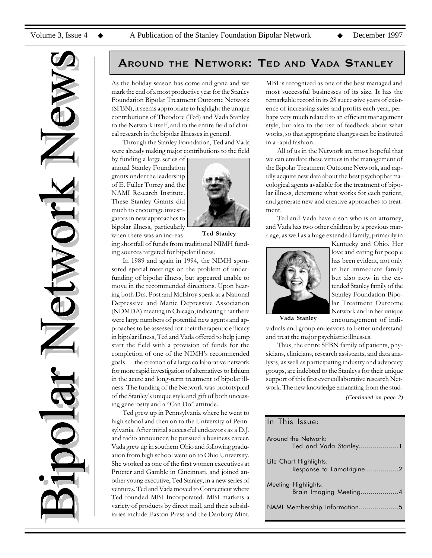

## AROUND THE NETWORK: TED AND VADA STANLEY

As the holiday season has come and gone and we mark the end of a most productive year for the Stanley Foundation Bipolar Treatment Outcome Network (SFBN), it seems appropriate to highlight the unique contributions of Theodore (Ted) and Vada Stanley to the Network itself, and to the entire field of clinical research in the bipolar illnesses in general.

Through the Stanley Foundation, Ted and Vada were already making major contributions to the field

by funding a large series of annual Stanley Foundation grants under the leadership of E. Fuller Torrey and the NAMI Research Institute. These Stanley Grants did much to encourage investigators in new approaches to bipolar illness, particularly



when there was an increasing shortfall of funds from traditional NIMH funding sources targeted for bipolar illness. Ted Stanley

In 1989 and again in 1994, the NIMH sponsored special meetings on the problem of underfunding of bipolar illness, but appeared unable to move in the recommended directions. Upon hearing both Drs. Post and McElroy speak at a National Depressive and Manic Depressive Association (NDMDA) meeting in Chicago, indicating that there were large numbers of potential new agents and approaches to be assessed for their therapeutic efficacy in bipolar illness, Ted and Vada offered to help jump start the field with a provision of funds for the completion of one of the NIMH's recommended goals the creation of a large collaborative network for more rapid investigation of alternatives to lithium in the acute and long-term treatment of bipolar illness. The funding of the Network was prototypical of the Stanley's unique style and gift of both unceasing generosity and a "Can Do" attitude.

Ted grew up in Pennsylvania where he went to high school and then on to the University of Pennsylvania. After initial successful endeavors as a D.J. and radio announcer, he pursued a business career. Vada grew up in southern Ohio and following graduation from high school went on to Ohio University. She worked as one of the first women executives at Procter and Gamble in Cincinnati, and joined another young executive, Ted Stanley, in a new series of ventures. Ted and Vada moved to Connecticut where Ted founded MBI Incorporated. MBI markets a variety of products by direct mail, and their subsidiaries include Easton Press and the Danbury Mint. MBI is recognized as one of the best managed and most successful businesses of its size. It has the remarkable record in its 28 successive years of existence of increasing sales and profits each year, perhaps very much related to an efficient management style, but also to the use of feedback about what works, so that appropriate changes can be instituted in a rapid fashion.

All of us in the Network are most hopeful that we can emulate these virtues in the management of the Bipolar Treatment Outcome Network, and rapidly acquire new data about the best psychopharmacological agents available for the treatment of bipolar illness, determine what works for each patient, and generate new and creative approaches to treatment.

Ted and Vada have a son who is an attorney, and Vada has two other children by a previous marriage, as well as a huge extended family, primarily in



Kentucky and Ohio. Her love and caring for people has been evident, not only in her immediate family but also now in the extended Stanley family of the Stanley Foundation Bipolar Treatment Outcome Network and in her unique encouragement of indi-

Vada Stanley

viduals and group endeavors to better understand and treat the major psychiatric illnesses.

Thus, the entire SFBN family of patients, physicians, clinicians, research assistants, and data analysts, as well as participating industry and advocacy groups, are indebted to the Stanleys for their unique support of this first ever collaborative research Network. The new knowledge emanating from the stud-

*(Continued on page 2)*

# In This Issue:

| Around the Network:<br>Ted and Vada Stanley1       |
|----------------------------------------------------|
| Life Chart Highlights:<br>Response to Lamotrigine2 |
| Meeting Highlights:<br>Brain Imaging Meeting4      |
| NAMI Membership Information5                       |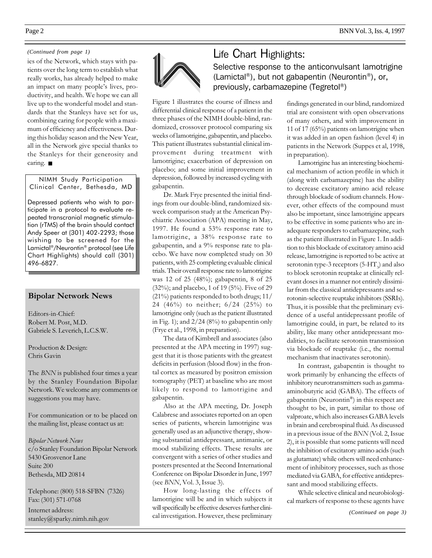## *(Continued from page 1)*

ies of the Network, which stays with patients over the long term to establish what really works, has already helped to make an impact on many people's lives, productivity, and health. We hope we can all live up to the wonderful model and standards that the Stanleys have set for us, combining caring for people with a maximum of efficiency and effectiveness. During this holiday season and the New Year, all in the Network give special thanks to the Stanleys for their generosity and caring. ■

NIMH Study Participation Clinical Center, Bethesda, MD

Depressed patients who wish to participate in a protocol to evaluate repeated transcranial magnetic stimulation (rTMS) of the brain should contact Andy Speer at (301) 402-2293; those wishing to be screened for the Lamictal®/Neurontin® protocol (see Life Chart Highlights) should call (301) 496-6827.

## Bipolar Network News

Editors-in-Chief: Robert M. Post, M.D. Gabriele S. Leverich, L.C.S.W.

Production & Design: Chris Gavin

The BNN is published four times a year by the Stanley Foundation Bipolar Network. We welcome any comments or suggestions you may have.

For communication or to be placed on the mailing list, please contact us at:

Bipolar Network News c/o Stanley Foundation Bipolar Network 5430 Grosvenor Lane Suite 200 Bethesda, MD 20814

Telephone: (800) 518-SFBN (7326) Fax: (301) 571-0768

Internet address: stanley@sparky.nimh.nih.gov



Figure 1 illustrates the course of illness and differential clinical response of a patient in the three phases of the NIMH double-blind, randomized, crossover protocol comparing six weeks of lamotrigine, gabapentin, and placebo. This patient illustrates substantial clinical improvement during treatment with lamotrigine; exacerbation of depression on placebo; and some initial improvement in depression, followed by increased cycling with gabapentin.

Dr. Mark Frye presented the initial findings from our double-blind, randomized sixweek comparison study at the American Psychiatric Association (APA) meeting in May, 1997. He found a 53% response rate to lamotrigine, a 38% response rate to gabapentin, and a 9% response rate to placebo. We have now completed study on 30 patients, with 25 completing evaluable clinical trials. Their overall response rate to lamotrigine was 12 of 25 (48%); gabapentin, 8 of 25 (32%); and placebo, 1 of 19 (5%). Five of 29 (21%) patients responded to both drugs; 11/ 24 (46%) to neither; 6/24 (25%) to lamotrigine only (such as the patient illustrated in Fig. 1); and  $2/24$  (8%) to gabapentin only (Frye et al., 1998, in preparation).

The data of Kimbrell and associates (also presented at the APA meeting in 1997) suggest that it is those patients with the greatest deficits in perfusion (blood flow) in the frontal cortex as measured by positron emission tomography (PET) at baseline who are most likely to respond to lamotrigine and gabapentin.

Also at the APA meeting, Dr. Joseph Calabrese and associates reported on an open series of patients, wherein lamotrigine was generally used as an adjunctive therapy, showing substantial antidepressant, antimanic, or mood stabilizing effects. These results are convergent with a series of other studies and posters presented at the Second International Conference on Bipolar Disorder in June, 1997 (see BNN, Vol. 3, Issue 3).

How long-lasting the effects of lamotrigine will be and in which subjects it will specifically be effective deserves further clinical investigation. However, these preliminary

Life Chart Highlights: Selective response to the anticonvulsant lamotrigine (Lamictal®), but not gabapentin (Neurontin®), or, previously, carbamazepine (Tegretol®)

> findings generated in our blind, randomized trial are consistent with open observations of many others, and with improvement in 11 of 17 (65%) patients on lamotrigine when it was added in an open fashion (level 4) in patients in the Network (Suppes et al, 1998, in preparation).

> Lamotrigine has an interesting biochemical mechanism of action profile in which it (along with carbamazepine) has the ability to decrease excitatory amino acid release through blockade of sodium channels. However, other effects of the compound must also be important, since lamotrigine appears to be effective in some patients who are inadequate responders to carbamazepine, such as the patient illustrated in Figure 1. In addition to this blockade of excitatory amino acid release, lamotrigine is reported to be active at serotonin type-3 receptors (5-HT<sub>3</sub>) and also to block serotonin reuptake at clinically relevant doses in a manner not entirely dissimilar from the classical antidepressants and serotonin-selective reuptake inhibitors (SSRIs). Thus, it is possible that the preliminary evidence of a useful antidepressant profile of lamotrigine could, in part, be related to its ability, like many other antidepressant modalities, to facilitate serotonin transmission via blockade of reuptake (i.e., the normal mechanism that inactivates serotonin).

> In contrast, gabapentin is thought to work primarily by enhancing the effects of inhibitory neurotransmitters such as gammaaminobutyric acid (GABA). The effects of gabapentin (Neurontin®) in this respect are thought to be, in part, similar to those of valproate, which also increases GABA levels in brain and cerebrospinal fluid. As discussed in a previous issue of the BNN (Vol. 2, Issue 2), it is possible that some patients will need the inhibition of excitatory amino acids (such as glutamate) while others will need enhancement of inhibitory processes, such as those mediated via GABA, for effective antidepressant and mood stabilizing effects.

> While selective clinical and neurobiological markers of response to these agents have

> > *(Continued on page 3)*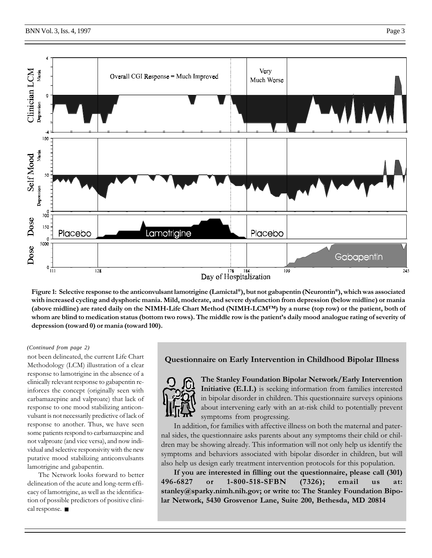

Figure 1: Selective response to the anticonvulsant lamotrigine (Lamictal®), but not gabapentin (Neurontin®), which was associated with increased cycling and dysphoric mania. Mild, moderate, and severe dysfunction from depression (below midline) or mania (above midline) are rated daily on the NIMH-Life Chart Method (NIMH-LCM<sup>TM</sup>) by a nurse (top row) or the patient, both of whom are blind to medication status (bottom two rows). The middle row is the patient's daily mood analogue rating of severity of depression (toward 0) or mania (toward 100).

## *(Continued from page 2)*

not been delineated, the current Life Chart Methodology (LCM) illustration of a clear response to lamotrigine in the absence of a clinically relevant response to gabapentin reinforces the concept (originally seen with carbamazepine and valproate) that lack of response to one mood stabilizing anticonvulsant is not necessarily predictive of lack of response to another. Thus, we have seen some patients respond to carbamazepine and not valproate (and vice versa), and now individual and selective responsivity with the new putative mood stabilizing anticonvulsants lamotrigine and gabapentin.

The Network looks forward to better delineation of the acute and long-term efficacy of lamotrigine, as well as the identification of possible predictors of positive clinical response. ■

## Questionnaire on Early Intervention in Childhood Bipolar Illness



The Stanley Foundation Bipolar Network/Early Intervention Initiative (E.I.I.) is seeking information from families interested in bipolar disorder in children. This questionnaire surveys opinions about intervening early with an at-risk child to potentially prevent symptoms from progressing.

In addition, for families with affective illness on both the maternal and paternal sides, the questionnaire asks parents about any symptoms their child or children may be showing already. This information will not only help us identify the symptoms and behaviors associated with bipolar disorder in children, but will also help us design early treatment intervention protocols for this population.

If you are interested in filling out the questionnaire, please call (301) 496-6827 or 1-800-518-SFBN (7326); email us at: stanley@sparky.nimh.nih.gov; or write to: The Stanley Foundation Bipolar Network, 5430 Grosvenor Lane, Suite 200, Bethesda, MD 20814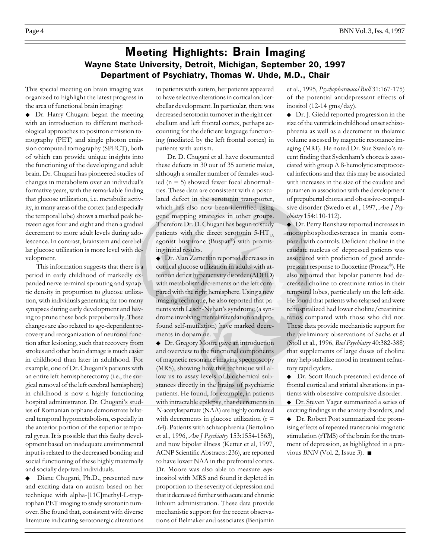## Meeting Highlights: Brain Imaging Wayne State University, Detroit, Michigan, September 20, 1997 Department of Psychiatry, Thomas W. Uhde, M.D., Chair

This special meeting on brain imaging was organized to highlight the latest progress in the area of functional brain imaging:

◆ Dr. Harry Chugani began the meeting with an introduction to different methodological approaches to positron emission tomography (PET) and single photon emission computed tomography (SPECT), both of which can provide unique insights into the functioning of the developing and adult brain. Dr. Chugani has pioneered studies of changes in metabolism over an individual's formative years, with the remarkable finding that glucose utilization, i.e. metabolic activity, in many areas of the cortex (and especially the temporal lobe) shows a marked peak between ages four and eight and then a gradual decrement to more adult levels during adolescence. In contrast, brainstem and cerebellar glucose utilization is more level with development.

This information suggests that there is a period in early childhood of markedly expanded nerve terminal sprouting and synaptic density in proportion to glucose utilization, with individuals generating far too many synapses during early development and having to prune these back prepubertally. These changes are also related to age-dependent recovery and reorganization of neuronal function after lesioning, such that recovery from strokes and other brain damage is much easier in childhood than later in adulthood. For example, one of Dr. Chugani's patients with an entire left hemispherectomy (i.e., the surgical removal of the left cerebral hemisphere) in childhood is now a highly functioning hospital administrator. Dr. Chugani's studies of Romanian orphans demonstrate bilateral temporal hypometabolism, especially in the anterior portion of the superior temporal gyrus. It is possible that this faulty development based on inadequate environmental input is related to the decreased bonding and social functioning of these highly maternally and socially deprived individuals.

◆ Diane Chugani, Ph.D., presented new and exciting data on autism based on her technique with alpha-[11C]methyl-L-tryptophan PET imaging to study serotonin turnover. She found that, consistent with diverse literature indicating serotonergic alterations in patients with autism, her patients appeared to have selective alterations in cortical and cerebellar development. In particular, there was decreased serotonin turnover in the right cerebellum and left frontal cortex, perhaps accounting for the deficient language functioning (mediated by the left frontal cortex) in patients with autism.

Dr. D. Chugani et al. have documented these defects in 30 out of 35 autistic males, although a smaller number of females studied ( $n = 5$ ) showed fewer focal abnormalities. These data are consistent with a postulated defect in the serotonin transporter, which has also now been identified using gene mapping strategies in other groups. Therefore Dr. D. Chugani has begun to study patients with the direct serotonin  $5-HT_{1A}$ agonist buspirone (Buspar®) with promising initial results.

◆ Dr. Alan Zametkin reported decreases in cortical glucose utilization in adults with attention deficit hyperactivity disorder (ADHD) with metabolism decrements on the left compared with the right hemisphere. Using a new imaging technique, he also reported that patients with Lesch-Nyhan's syndrome (a syndrome involving mental retardation and profound self-mutilation) have marked decrements in dopamine.

◆ Dr. Gregory Moore gave an introduction and overview to the functional components of magnetic resonance imaging spectroscopy (MRS), showing how this technique will allow us to assay levels of biochemical substances directly in the brains of psychiatric patients. He found, for example, in patients with intractable epilepsy, that decrements in N-acetylaspartate (NAA) are highly correlated with decrements in glucose utilization  $(r =$ .64). Patients with schizophrenia (Bertolino et al., 1996, Am J Psychiatry 153:1554-1563), and now bipolar illness (Ketter et al, 1997, ACNP Scientific Abstracts: 236), are reported to have lower NAA in the prefrontal cortex. Dr. Moore was also able to measure myoinositol with MRS and found it depleted in proportion to the severity of depression and that it decreased further with acute and chronic lithium administration. These data provide mechanistic support for the recent observations of Belmaker and associates (Benjamin et al., 1995, Psychopharmacol Bull 31:167-175) of the potential antidepressant effects of inositol (12-14 gms/day).

◆ Dr. J. Giedd reported progression in the size of the ventricle in childhood onset schizophrenia as well as a decrement in thalamic volume assessed by magnetic resonance imaging (MRI). He noted Dr. Sue Swedo's recent finding that Sydenham's chorea is associated with group A ß-hemolytic streptococcal infections and that this may be associated with increases in the size of the caudate and putamen in association with the development of prepubertal chorea and obsessive-compulsive disorder (Swedo et al., 1997, Am J Psychiatry 154:110-112).

◆ Dr. Perry Renshaw reported increases in monophosphodiesterases in mania compared with controls. Deficient choline in the caudate nucleus of depressed patients was associated with prediction of good antidepressant response to fluoxetine (Prozac®). He also reported that bipolar patients had decreased choline to creatinine ratios in their temporal lobes, particularly on the left side. He found that patients who relapsed and were rehospitalized had lower choline/creatinine ratios compared with those who did not. These data provide mechanistic support for the preliminary observations of Sachs et al (Stoll et al., 1996, Biol Psychiatry 40:382-388) that supplements of large doses of choline may help stabilize mood in treatment refractory rapid cyclers.

◆ Dr. Scott Rauch presented evidence of frontal cortical and striatal alterations in patients with obsessive-compulsive disorder.

◆ Dr. Steven Yager summarized a series of exciting findings in the anxiety disorders, and ◆ Dr. Robert Post summarized the promising effects of repeated transcranial magnetic stimulation (rTMS) of the brain for the treatment of depression, as highlighted in a previous  $BNN$  (Vol. 2, Issue 3).  $\blacksquare$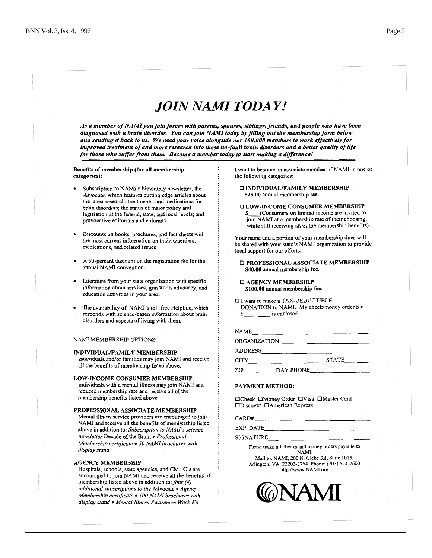# JOIN NAMI TODAY!

As a member of NAMI you join forces with parents, spouses, siblings, friends, and people who have been diagnosed with a brain disorder. You can join NAMI today by filling out the membership form below and sending it back to us. We need your voice alongside our 160,000 members to work effectively for improved treatment of and more research into these no-fault brain disorders and a better quality of life for those who suffer from them. Become a member today to start making a difference!

## Benefits of membership (for all membership categories):

- Subscription to NAMI's bimonthly newsletter, the Advocate, which features cutting edge articles about the latest research, treatments, and medications for brain disorders; the status of major policy and legislation at the federal, state, and local levels; and provocative editorials and columns.
- Discounts on books, brochures, and fact sheets with the most current information on brain disorders, medications, and related issues
- A 30-percent discount on the registration fee for the annual NAMI convention.
- Literature from your state organization with specific information about services, grassroots advocacy, and education activities in your area.
- The availability of NAMI's toll-free Helpline, which responds with science-based information about brain disorders and aspects of living with them.

## NAMI MEMBERSHIP OPTIONS:

#### **INDIVIDUAL/FAMILY MEMBERSHIP**

Individuals and/or families may join NAMI and receive all the benefits of membership listed above.

## LOW-INCOME CONSUMER MEMBERSHIP

Individuals with a mental illness may join NAMI at a reduced membership rate and receive all of the membership benefits listed above.

## PROFESSIONAL ASSOCIATE MEMBERSHIP

Mental illness service providers are encouraged to join NAMI and receive all the benefits of membership listed above in addition to: Subscription to NAMI's science newsletter Decade of the Brain · Professional Membership certificate . 50 NAMI brochures with display stand

## **AGENCY MEMBERSHIP**

Hospitals, schools, state agencies, and CMHC's are encouraged to join NAMI and receive all the benefits of membership listed above in addition to: four (4) additional subscriptions to the Advocate · Agency Membership certificate . 100 NAMI brochures with display stand • Mental Illness Awareness Week Kit

I want to become an associate member of NAMI in one of the following categories:

## **C INDIVIDUAL/FAMILY MEMBERSHIP** \$25.00 annual membership fee.

## **Q LOW-INCOME CONSUMER MEMBERSHIP** \$\_\_\_\_(Consumers on limited income are invited to join NAMI at a membership rate of their choosing, while still receiving all of the membership benefits).

Your name and a portion of your membership dues will be shared with your state's NAMI organization to provide local support for our efforts.

## **I PROFESSIONAL ASSOCIATE MEMBERSHIP** \$40.00 annual membership fee.

## **C AGENCY MEMBERSHIP** \$100.00 annual membership fee.

I want to make a TAX-DEDUCTIBLE DONATION to NAMI. My check/money order for  $\overline{\phantom{a}}$  is enclosed.

| NAME                                                 |                                                                                                                                                                                                                                      |
|------------------------------------------------------|--------------------------------------------------------------------------------------------------------------------------------------------------------------------------------------------------------------------------------------|
| ORGANIZATION                                         | <u> 1980 - An Dùbhlachd an Dùbhlachd an Dùbhlachd an Dùbhlachd an Dùbhlachd an Dùbhlachd an Dùbhlachd an Dùbhlachd an Dùbhlachd an Dùbhlachd an Dùbhlachd an Dùbhlachd an Dùbhlachd an Dùbhlachd an Dùbhlachd an Dùbhlachd an Dù</u> |
| ADDRESS                                              |                                                                                                                                                                                                                                      |
| CITY<br>the control of the control of the control of | <b>STATE</b>                                                                                                                                                                                                                         |
| ZIP                                                  |                                                                                                                                                                                                                                      |
| DA VALENT METUAD.                                    |                                                                                                                                                                                                                                      |

#### PAYMENT METHOD:

□Check □Money Order □Visa □Master Card **ODiscover OAmerican Express** 

CARD#

EXP. DATE

SIGNATURE\_

Please make all checks and money orders payable to **NAMI** 

Mail to: NAMI, 200 N. Glebe Rd, Suite 1015, Arlington, VA 22203-3754. Phone: (703) 524-7600 http://www.NAMI.org

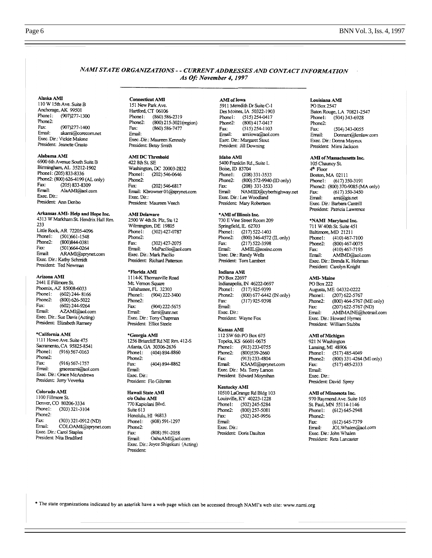## NAMI STATE ORGANIZATIONS - - CURRENT ADDRESSES AND CONTACT INFORMATION As Of: November 4, 1997

## Alaska AMI

110 W 15th Ave. Suite B Anchorage, AK 99501 Phone1:  $(907)277 - 1300$ Phone2:  $(907)277 - 1400$ Fax: Email: akami@corecom.net Exec. Dir.: Vickie Malone President: Jeanette Grasto

## Alabama AMI

6900 6th Avenue South Suite B Birmingham, AL 35212-1902 Phone1: (205) 833-8336 Phone2: (800) 626-4199 (AL only) Fax:  $(205) 833 - 8309$ Email: AlaAMI@aol.com Exec. Dir.: President: Ann Denbo

## Arkansas AMI-Help and Hope Inc.

4313 W Markham St. Hendrix Hall Rm. 233 Little Rock, AR 72205-4096 Phone1: (501)661-1548 (800)844-0381 Phone2: Fax: (501)664-0264 Email: ARAMI@sprynet.com Exec. Dir.: Kathy Schmidt President: Ted Newman

## Arizona AMI

2441 E Fillmore St. Phoenix, AZ 85008-6033 Phone1:  $(602)$  244-8166 Phone2:  $(800)$  626-5022 Fax:  $(602)$  244-9264 Email: AZAMI@aol.com Exec. Dir.: Sue Davis (Acting) President: Elizabeth Ramsey

## \*California AMI

1111 Howe Ave. Suite 475 Sacramento, CA 95825-8541 Phone1: (916) 567-0163 Phone2: Fax:  $(916) 567 - 1757$ Email: gracecami@aol.com Exec. Dir.: Grace McAndrews President: Jerry Veverka

## Colorado AMI

1100 Fillmore St. Denver, CO 80206-3334 Phone1:  $(303)$  321-3104 Phone2: Fax:  $(303)$  321-0912 (ND) COLOAMI@sprynet.com Email: Exec. Dir.: Carol Staples President: Nita Bradford

#### **Connecticut AMI** 151 New Park Ave. Hartford, CT 06106 Phone1: (860) 586-2319 (800) 215-3021 (region) Phone2: Fax:  $(860) 586 - 7477$

Email: Exec. Dir.: Maureen Kennedy President: Betsy Smith

## **AMI DC Threshold**

422 8th St. SE Washington, DC 20003-2832 Phone1:  $(202) 546 - 0646$ Phone2:  $(202) 546-6817$ Fax: Email: Kbrowner 01@sprynet.com Exec. Dir.: President: Maureen Veech

### **AMI** Delaware

2500 W 4th St. Plz, Ste 12 Wilmington, DE 19805 Phone1: (302) 427-0787 Phone2: Fax:  $(302)$  427-2075 Email: MaPacilio@aol.com Exec. Dir.: Mark Pacilio President: Richard Patterson

#### \*Florida AMI

1114-K Thomasville Road Mt. Vernon Square Tallahassee, FL 32303 Phone1: (904) 222-3400 Phone2:  $(904)$  222-5675 Fax: Email: fami@unr.net Exec. Dir.: Tony Chapman President: Elliot Steele

#### \*Georgia AMI

1256 Briarcliff Rd NE Rm. 412-S Atlanta, GA 30306-2636 Phone1: (404) 894-8860 Phone2: Fax:  $(404) 894 - 8862$ Email: Exec. Dir.: President: Flo Giltman

#### Hawaii State AMI

c/o Oahu AMI 770 Kapiolani Blvd. Suite 613 Honolulu, HI 96813 Phone1: (808) 591-1297 Phone2: Fax: (808) 591-2058 Email: OahuAMI@aol.com Exec. Dir.: Joyce Shigekuni (Acting) President:

#### AMI of Iowa

5911 Meredith Dr Suite C-1 Des Moines, IA 50322-1903 Phone1: (515) 254-0417 Phone2:  $(800)$  417-0417 Fax:  $(515)$  254-1103 Email: amiiowa@aol.com Exec. Dir.: Margaret Stout President: Jill Downing

### Idaho AMI

5400 Franklin Rd., Suite L Boise, ID 83704 Phone1: (208) 331-3533  $Phone2$ (800) 572-9940 (ID only) Fax: (208) 331-3533 NAMIID@cyberhighway.net Email: Exec. Dir.: Lee Woodland President: Mary Robertson

## \*AMI of Illinois Inc.

730 E Vine Street Room 209 Springfield, IL 62703  $(217) 522 - 1403$ Phone1: (800) 346-4572 (IL only) Phone2: Fax:  $(217) 522 - 3598$ Email: AMIIL@eosinc.com Exec. Dir.: Randy Wells President: Tom Lambert

#### Indiana AMI

PO Box 22697 Indianapolis, IN 46222-0697 Phone1:  $(317)$  925-9399 (800) 677-6442 (IN only) Phone2:  $(317)$  925-9398 Fax: Email: Exec. Dir.: President: Wayne Fox

### Kansas AMI

112 SW 6th PO Box 675 Topeka, KS 66601-0675 Phone1:  $(913)$  233-0755  $(800)$ 539-2660 Phone2:  $(913)$  233-4804 Fax: Email: KSAMI@sprynet.com Exec. Dir.: Ms. Terry Larson President: Edward Moynihan

### Kentucky AMI

10510 LaGrange Rd Bldg 103 Louisville, KY 40223-1228 Phone1:  $(502)$  245-5284 Phone2:  $(800)$  257-5081 Fax:  $(502)$  245-9956 Email: Exec. Dir.: President: Doris Daulton

#### Louisiana AMI PO Box 2547

Baton Rouge, LA 70821-2547 Phone1:  $(504)$  343-6928 Phone2:  $(504)$  343-0055 Fax: Email: Donnam@kmlaw.com Exec. Dir.: Donna Mayeux President: Mirni Jackson

## **AMI** of Massachusetts Inc.

105 Chauncy St.  $4<sup>th</sup>$  Floor Boston, MA 02111 Phone1: (617) 350-3191 Phone2: (800) 370-9085 (MA only)  $(617)$  350-3450 Fax: Email: ami@gis.net Exec. Dir.: Barbara Cantrill President: Patricia Lawrence

## \*NAMI Maryland Inc.

711 W 40th St. Suite 451 Baltimore, MD 21211  $(410)$  467-7100 Phone!: Phone2:  $(800)$  467-0075 (410) 467-7195 Fax: Email: AMIMD@aol.com Exec. Dir.: Brenda K. Hohman President: Carolyn Knight

## **AMI-Maine**

PO Box 222 Augusta, ME 04332-0222  $(207)$  622-5767 Phone1: (800) 464-5767 (ME only) Phone2: Fax:  $(207)$  622-5767 (ND) Fmail: AMIMAINE@hotmail.com Exec. Dir.: Howard Hymes President: William Stubbs

### AMI of Michigan

921 N Washington Lansing, MI 48906  $(517)$  485-4049 Phone1: (800) 331-4264 (MI only) Phone2: Fax:  $(517)$  485-2333 Email: Exec. Dir.: President: David Sprey

#### AMI of Minnesota Inc.

970 Raymond Ave. Suite 105 St. Paul, MN 55114-1146 Phone1:  $(612) 645 - 2948$ Phone2:  $(612) 645 - 7379$ Fax: Email: JOLWhalen@aol.com Exec. Dir.: John Whalen President: Reta Lancaster

\* The state organizations indicated by an asterisk have a web page which can be accessed through NAMI's web site: www.nami.org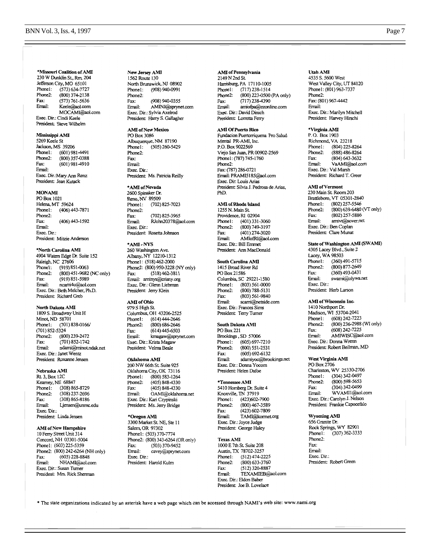## BNN Vol. 3, Iss. 4, 1997

\*Missouri Coalition of AMI 230 W Dunklin St., Rm. 204 Jefferson City, MO 65101 Phone1:  $(573) 634-7727$ Phone2:  $(800)$  374-2138 Fax:  $(573) 761 - 5636$ Email: Keele@aol.com MOCAMI@aol.com Exec. Dir.: Cindi Keele President: Steve Wilhelm

## Mississippi AMI<br>5269 Keele St

Jackson, MS 39206  $(601)$  981-4491 Phone1: (800) 357-0388 Phone<sub>2</sub>: Fax:  $(601)$  981-4910 Email: Exec. Dir.: Mary Ann Renz President: Jean Kutack

#### **MONAMI**

PO Box 1021 Helena, MT 59624 Phonel:  $(406)$  443-7871 Phone2:  $(406)$  443-1592 Fax: Email: Exec. Dir.: President: Mitzie Anderson

\*North Carolina AMI 4904 Waters Edge Dr. Suite 152 Raleigh, NC 27606  $(919) 851 - 0063$ Phone1: (800) 451-9682 (NC only) Phone2: (919) 851-5989 Fax: Email: ncami4u@aol.com Exec. Dir.: Beth Melcher, Ph.D. President: Richard Greb

#### North Dakota AMI

1809 S. Broadway Unit H Minot, ND 58701 (701) 838-0166/ Phone1: (701) 852-5324 Phone2: (800) 239-2472 Fax:  $(701) 852 - 1742$ ndami@minot.ndak.net Email: Exec. Dir.: Janet Wentz President: Roxanne Jensen

## Nebraska AMI

Rt. 3, Box 12C Keamey, NE 68847 Phone1: (308) 865-8729 Phone2:  $(308)$  237-2696  $(308)865 - 8186$ Fax: Email: Ljensen@unmc.edu Exec. Dir.: President: Linda Jensen

#### AMI of New Hampshire

10 Ferry Street Unit 314 Concord, NH 03301-5004 Phone1: (603) 225-5359 Phone2: (800) 242-6264 (NH only)  $(603)$  228-8848 Fax: NHAMI@aol.com Email: Exec. Dir.: Susan Turner President: Mrs. Rick Sherman

New Jersey AMI 1562 Route 130 North Brunswick, NJ 08902 Phone!:  $(908)$  940-0991 Phone2: Fax: (908) 940-0355 Email: AMINJ@sprynet.com Exec. Dir.: Sylvia Axelrod President: Harry S. Gallagher

## **AMI** of New Mexico

PO Box 3086 Albuquerque, NM 87190 Phone1:  $(505)$  260-5429 Phone2: Fax: Email: Exec. Dir.: President: Ms. Patricia Reilly

\*AMI of Nevada 2600 Spinaker Dr. Reno, NV 89509  $(702)$  825-7023 Phone1: Phone<sub>2</sub>:  $(702)$  825-3965 Fax: Email: RJohn20378@aol.com Exec. Dir.: President: Rosetta Johnson

#### \*AMI-NYS

260 Washington Ave. Albany, NY 12210-1312 Phone1: (518) 462-2000 Phone2: (800) 950-3228 (NY only) Fax:  $(518)$  462-3811 Email: aminys@crisny.org Exec. Dir.: Glenn Liebman President: Jerry Klein

## **AMI** of Ohio

979 S High St Columbus, OH 43206-2525  $(614)$  444-2646 Phone1:  $(800)$  686-2646 Phone2:  $(614)445-6503$ Fax: Email: kmagaw@sprynet.com Exec. Dir.: Krista Magaw President: Velma Beale

#### Oklahoma AMI

200 NW 66th St. Suite 925 Oklahoma City, OK 73116  $(800)$  583-1264 Phone1: Phone2:  $(405) 848 - 4330$ (405) 848-4330 Fax: Email: OAMI@oklahoma.net Exec. Dir.: Kari Czypinski President: Ms. Jerry Bridge

\*Oregon AMI<br>3300 Market St. NE, Ste 11 Salem, OR 97302 Phonel: (503) 370-7774 Phone2: (800) 343-6264 (OR only) (503) 370-9452 Fax: Email: cavey@sprynet.com Exec. Dir.: President: Harold Kulm

#### AMI of Pennsylvania

2149 N 2nd St. Harrisburg, PA 17110-1005  $(717)$  238-1514 Phone1: (800) 223-0500 (PA only) Phone2: Fax:  $(717)$  238-4390 Email: amiofpa@ezonline.com Exec. Dir.: David Dinich President: Lorretta Ferry

#### **AMI Of Puerto Rico**

Fundacion Puertorriquena Pro Salud Mental PR-AMI, Inc. P.O. Box 9022569 Viejo San Juan, PR 00902-2569 Phone1: (787) 745-1760 Phone2: Fax: (787) 286-0721 Email: PRAMI5185@aol.com Exec. Dir. Louis Arias President: Silvia J. Pedrosa de Arias, PhD.

## AMI of Rhode Island

1255 N. Main St. Providence, RI 02904 (401) 331-3060 Phone1: (800) 749-3197 Phone2: Fax: (401) 274-3020 Email: AMIofRI@aol.com Exec. Dir.: Bill Emmet President: Ann MacDonald

## South Carolina AMI

1415 Broad River Rd PO Box 21586 Columbia, SC 29221-1580 Phone1: (803) 561-0000 Phone2: (800) 788-5131 (803) 561-9840 Fax: Email: scami@netside.com Exec. Dir.: Frances Sims President: Terry Turner

#### South Dakota AMI PO Box 221 Brookings, SD 57006  $(605) 697 - 7210$ Phone1: (800) 551-2531 Phone2: Fax:  $(605) 692 - 6132$ Email: sdamiyoc@brookings.net Exec. Dir.: Donna Yocom President: Helen Dafoe

#### \*Tennessee AMI

5410 Homberg Dr. Suite 4 Knoxville, TN 37919 (423) 602-7900 Phone1:  $(800)$  467-3589 Phone2: (423) 602-7809 Fax: TAMI@korrnet.org Email: Exec. Dir.: Joyce Judge President: George Haley

## **Texas AMI**

1000 E 7th St. Suite 208 Austin, TX 78702-3257 Phonel:  $(512)$  474-2225 Phone2: (800) 633-3760  $(512)$  320-8887 Fax: Email: TEXAMIEB@aol.com Exec. Dir.: Eldon Baber President: Joe B. Lovelace

#### Utah AMI

4535 S. 5600 West West Valley City, UT 84120 Phone1: (801) 963-7337 Phone2: Fax: (801) 967-4442 Email: Exec. Dir.: Marilyn Mitchell President: Harvey Hirschi

### \*Virginia AMI

P.O. Box 1903 Richmond, VA 23218  $(804)$  225-8264 Phone1: Phone2:  $(888)$  486-8264 Fax:  $(804)$  643-3632 VaAMI@aol.com Email: Exec. Dir.: Val Marsh President: Richard T. Greer

## **AMI** of Vermont

230 Main St. Room 203 Brattleboro, VT 05301-2840 (802) 257-5546 Phone1: Phone2: (800) 639-6480 (VT only)  $(802)$  257-5886 Fax: amivt@sover.net Email: Exec. Dir.: Ben Coplan President: Clare Munat

## State of Washington AMI (SWAMI)

4305 Lacey Blvd., Suite 2 Lacey, WA 98503 Phone1:  $(360)$  491-5715  $(800) 877 - 2649$ Phone2: Fax: (360) 493-0431 Email: swarni@olywa.net Exec. Dir.: President: Herb Larson

## AMI of Wisconsin Inc.

1410 Northport Dr. Madison, WI 53704-2041 (608) 242-7223 Phone1: (800) 236-2988 (WI only) Phone2:  $(608)$  242-7225 Fax: AMIWISC@aol.com Email: Exec. Dir.: Donna Wrenn President: Robert Beilman, MD

## West Virginia AMI

PO Box 2706 Charleston, WV 25330-2706 (304) 342-0497 Phone1: (800) 598-5653 Phone2: (304) 342-0499 Fax: WVAMI1@aol.com Email: Exec. Dir.: Carolyn J. Nelson President: Frankie Capocefalo

Wyoming AMI<br>656 Granite Dr. Rock Springs, WY 82901  $(307)$  362-3333 Phone1: Phone2: Fax: Email: Exec. Dir.: President: Robert Green

\* The state organizations indicated by an asterisk have a web page which can be accessed through NAMI's web site: www.nami.org

## Page 7